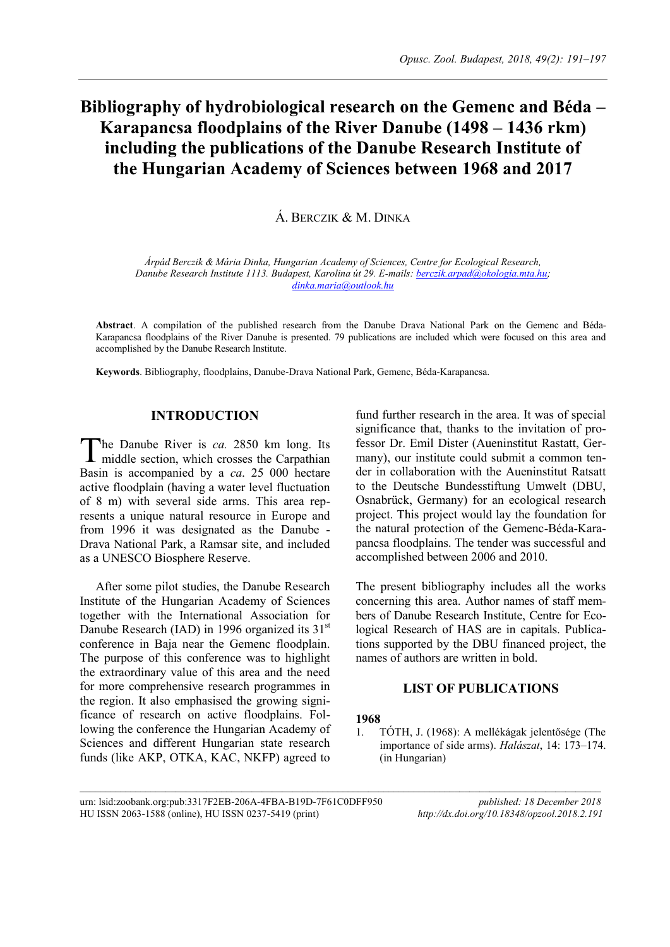# **Bibliography of hydrobiological research on the Gemenc and Béda – Karapancsa floodplains of the River Danube (1498 – 1436 rkm) including the publications of the Danube Research Institute of the Hungarian Academy of Sciences between 1968 and 2017**

Á. BERCZIK & M. DINKA

*Árpád Berczik & Mária Dinka, Hungarian Academy of Sciences, Centre for Ecological Research, Danube Research Institute 1113. Budapest, Karolina út 29. E-mails: [berczik.arpad@okologia.mta.hu;](mailto:berczik.arpad@okologia.mta.hu) [dinka.maria@outlook.hu](mailto:dinka.maria@outlook.hu)*

**Abstract**. A compilation of the published research from the Danube Drava National Park on the Gemenc and Béda-Karapancsa floodplains of the River Danube is presented. 79 publications are included which were focused on this area and accomplished by the Danube Research Institute.

**Keywords**. Bibliography, floodplains, Danube-Drava National Park, Gemenc, Béda-Karapancsa.

# **INTRODUCTION**

he Danube River is *ca.* 2850 km long. Its The Danube River is *ca*. 2850 km long. Its middle section, which crosses the Carpathian Basin is accompanied by a *ca*. 25 000 hectare active floodplain (having a water level fluctuation of 8 m) with several side arms. This area represents a unique natural resource in Europe and from 1996 it was designated as the Danube - Drava National Park, a Ramsar site, and included as a UNESCO Biosphere Reserve.

After some pilot studies, the Danube Research Institute of the Hungarian Academy of Sciences together with the International Association for Danube Research (IAD) in 1996 organized its  $31<sup>st</sup>$ conference in Baja near the Gemenc floodplain. The purpose of this conference was to highlight the extraordinary value of this area and the need for more comprehensive research programmes in the region. It also emphasised the growing significance of research on active floodplains. Following the conference the Hungarian Academy of Sciences and different Hungarian state research funds (like AKP, OTKA, KAC, NKFP) agreed to

fund further research in the area. It was of special significance that, thanks to the invitation of professor Dr. Emil Dister (Aueninstitut Rastatt, Germany), our institute could submit a common tender in collaboration with the Aueninstitut Ratsatt to the Deutsche Bundesstiftung Umwelt (DBU, Osnabrück, Germany) for an ecological research project. This project would lay the foundation for the natural protection of the Gemenc-Béda-Karapancsa floodplains. The tender was successful and accomplished between 2006 and 2010.

The present bibliography includes all the works concerning this area. Author names of staff members of Danube Research Institute, Centre for Ecological Research of HAS are in capitals. Publications supported by the DBU financed project, the names of authors are written in bold.

# **LIST OF PUBLICATIONS**

#### **1968**

 $\mathcal{L}_\text{max}$ 

1. TÓTH, J. (1968): A mellékágak jelentősége (The importance of side arms). *Halászat*, 14: 173–174. (in Hungarian)

urn: lsid:zoobank.org:pub:3317F2EB-206A-4FBA-B19D-7F61C0DFF950 *published: 18 December 2018* HU ISSN 2063-1588 (online), HU ISSN 0237-5419 (print) *http://dx.doi.org/10.18348/opzool.2018.2.191*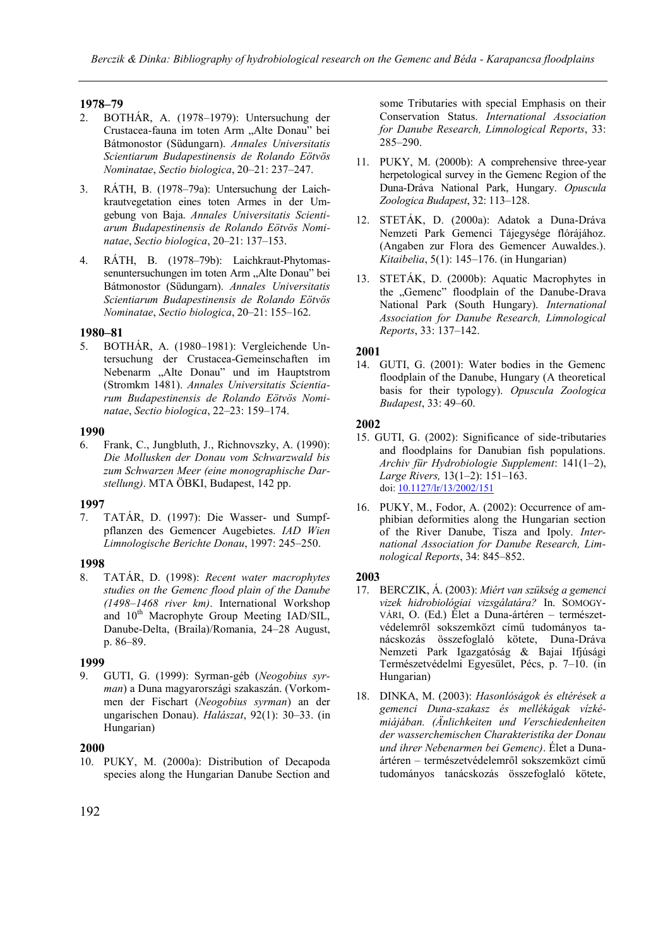# **1978–79**

- 2. BOTHÁR, A. (1978–1979): Untersuchung der Crustacea-fauna im toten Arm "Alte Donau" bei Bátmonostor (Südungarn). *Annales Universitatis Scientiarum Budapestinensis de Rolando Eötvös Nominatae*, *Sectio biologica*, 20–21: 237–247.
- 3. RÁTH, B. (1978–79a): Untersuchung der Laichkrautvegetation eines toten Armes in der Umgebung von Baja. *Annales Universitatis Scientiarum Budapestinensis de Rolando Eötvös Nominatae*, *Sectio biologica*, 20–21: 137–153.
- 4. RÁTH, B. (1978–79b): Laichkraut-Phytomassenuntersuchungen im toten Arm "Alte Donau" bei Bátmonostor (Südungarn). *Annales Universitatis Scientiarum Budapestinensis de Rolando Eötvös Nominatae*, *Sectio biologica*, 20–21: 155–162.

#### **1980–81**

5. BOTHÁR, A. (1980–1981): Vergleichende Untersuchung der Crustacea-Gemeinschaften im Nebenarm "Alte Donau" und im Hauptstrom (Stromkm 1481). *Annales Universitatis Scientiarum Budapestinensis de Rolando Eötvös Nominatae*, *Sectio biologica*, 22–23: 159–174.

#### **1990**

6. Frank, C., Jungbluth, J., Richnovszky, A. (1990): *Die Mollusken der Donau vom Schwarzwald bis zum Schwarzen Meer (eine monographische Darstellung)*. MTA ÖBKI, Budapest, 142 pp.

# **1997**

7. TATÁR, D. (1997): Die Wasser- und Sumpfpflanzen des Gemencer Augebietes. *IAD Wien Limnologische Berichte Donau*, 1997: 245–250.

# **1998**

8. TATÁR, D. (1998): *Recent water macrophytes studies on the Gemenc flood plain of the Danube (1498–1468 river km)*. International Workshop and  $10<sup>th</sup>$  Macrophyte Group Meeting IAD/SIL, Danube-Delta, (Braila)/Romania, 24–28 August, p. 86–89.

# **1999**

9. GUTI, G. (1999): Syrman-géb (*Neogobius syrman*) a Duna magyarországi szakaszán. (Vorkommen der Fischart (*Neogobius syrman*) an der ungarischen Donau). *Halászat*, 92(1): 30–33. (in Hungarian)

#### **2000**

10. PUKY, M. (2000a): Distribution of Decapoda species along the Hungarian Danube Section and

some Tributaries with special Emphasis on their Conservation Status. *International Association for Danube Research, Limnological Reports*, 33: 285–290.

- 11. PUKY, M. (2000b): A comprehensive three-year herpetological survey in the Gemenc Region of the Duna-Dráva National Park, Hungary. *Opuscula Zoologica Budapest*, 32: 113–128.
- 12. STETÁK, D. (2000a): Adatok a Duna-Dráva Nemzeti Park Gemenci Tájegysége flórájához. (Angaben zur Flora des Gemencer Auwaldes.). *Kitaibelia*, 5(1): 145–176. (in Hungarian)
- 13. STETÁK, D. (2000b): Aquatic Macrophytes in the "Gemenc" floodplain of the Danube-Drava National Park (South Hungary). *International Association for Danube Research, Limnological Reports*, 33: 137–142.

# **2001**

14. GUTI, G. (2001): Water bodies in the Gemenc floodplain of the Danube, Hungary (A theoretical basis for their typology). *Opuscula Zoologica Budapest*, 33: 49–60.

# **2002**

- 15. GUTI, G. (2002): Significance of side-tributaries and floodplains for Danubian fish populations. *Archiv für Hydrobiologie Supplement*: 141(1–2), *Large Rivers,* 13(1–2): 151–163. doi[: 10.1127/lr/13/2002/151](https://dx.doi.org/10.1127/lr/13/2002/151)
- 16. PUKY, M., Fodor, A. (2002): Occurrence of amphibian deformities along the Hungarian section of the River Danube, Tisza and Ipoly. *International Association for Danube Research, Limnological Reports*, 34: 845–852.

- 17. BERCZIK, Á. (2003): *Miért van szükség a gemenci vizek hidrobiológiai vizsgálatára?* In. SOMOGY-VÁRI, O. (Ed.) Élet a Duna-ártéren – természetvédelemről sokszemközt című tudományos tanácskozás összefoglaló kötete, Duna-Dráva Nemzeti Park Igazgatóság & Bajai Ifjúsági Természetvédelmi Egyesület, Pécs, p. 7–10. (in Hungarian)
- 18. DINKA, M. (2003): *Hasonlóságok és eltérések a gemenci Duna-szakasz és mellékágak vízkémiájában. (Änlichkeiten und Verschiedenheiten der wasserchemischen Charakteristika der Donau und ihrer Nebenarmen bei Gemenc)*. Élet a Dunaártéren – természetvédelemről sokszemközt című tudományos tanácskozás összefoglaló kötete,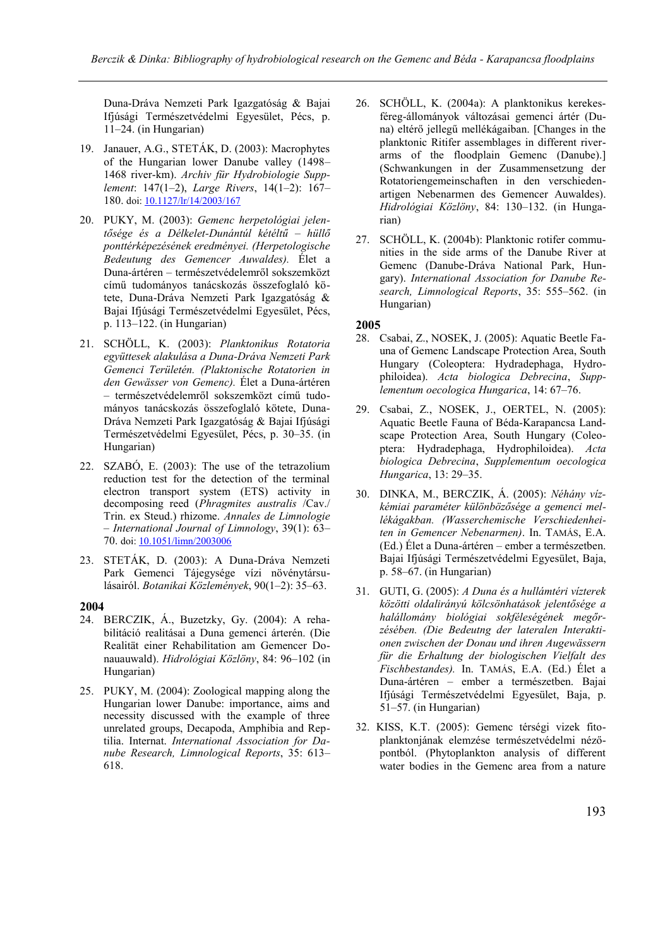Duna-Dráva Nemzeti Park Igazgatóság & Bajai Ifjúsági Természetvédelmi Egyesület, Pécs, p. 11–24. (in Hungarian)

- 19. Janauer, A.G., STETÁK, D. (2003): Macrophytes of the Hungarian lower Danube valley (1498– 1468 river-km). *Archiv für Hydrobiologie Supplement*: 147(1–2), *Large Rivers*, 14(1–2): 167– 180. doi[: 10.1127/lr/14/2003/167](https://dx.doi.org/10.1127/lr/14/2003/167)
- 20. PUKY, M. (2003): *Gemenc herpetológiai jelentősége és a Délkelet-Dunántúl kétéltű – hüllő ponttérképezésének eredményei. (Herpetologische Bedeutung des Gemencer Auwaldes).* Élet a Duna-ártéren – természetvédelemről sokszemközt című tudományos tanácskozás összefoglaló kötete, Duna-Dráva Nemzeti Park Igazgatóság & Bajai Ifjúsági Természetvédelmi Egyesület, Pécs, p. 113–122. (in Hungarian)
- 21. SCHÖLL, K. (2003): *Planktonikus Rotatoria együttesek alakulása a Duna-Dráva Nemzeti Park Gemenci Területén. (Plaktonische Rotatorien in den Gewässer von Gemenc).* Élet a Duna-ártéren – természetvédelemről sokszemközt című tudományos tanácskozás összefoglaló kötete, Duna-Dráva Nemzeti Park Igazgatóság & Bajai Ifjúsági Természetvédelmi Egyesület, Pécs, p. 30–35. (in Hungarian)
- 22. SZABÓ, E. (2003): The use of the tetrazolium reduction test for the detection of the terminal electron transport system (ETS) activity in decomposing reed (*Phragmites australis* /Cav./ Trin. ex Steud.) rhizome. *Annales de Limnologie* – *International Journal of Limnology*, 39(1): 63– 70. doi[: 10.1051/limn/2003006](https://doi.org/10.1051/limn/2003006)
- 23. STETÁK, D. (2003): A Duna-Dráva Nemzeti Park Gemenci Tájegysége vízi növénytársulásairól. *Botanikai Közlemények*, 90(1–2): 35–63.

# **2004**

- 24. BERCZIK, Á., Buzetzky, Gy. (2004): A rehabilitáció realitásai a Duna gemenci árterén. (Die Realität einer Rehabilitation am Gemencer Donauauwald). *Hidrológiai Közlöny*, 84: 96–102 (in Hungarian)
- 25. PUKY, M. (2004): Zoological mapping along the Hungarian lower Danube: importance, aims and necessity discussed with the example of three unrelated groups, Decapoda, Amphibia and Reptilia. Internat. *International Association for Danube Research, Limnological Reports*, 35: 613– 618.
- 26. SCHÖLL, K. (2004a): A planktonikus kerekesféreg-állományok változásai gemenci ártér (Duna) eltérő jellegű mellékágaiban. [Changes in the planktonic Ritifer assemblages in different riverarms of the floodplain Gemenc (Danube).] (Schwankungen in der Zusammensetzung der Rotatoriengemeinschaften in den verschiedenartigen Nebenarmen des Gemencer Auwaldes). *Hidrológiai Közlöny*, 84: 130–132. (in Hungarian)
- 27. SCHÖLL, K. (2004b): Planktonic rotifer communities in the side arms of the Danube River at Gemenc (Danube-Dráva National Park, Hungary). *International Association for Danube Research, Limnological Reports*, 35: 555–562. (in Hungarian)

- 28. Csabai, Z., NOSEK, J. (2005): Aquatic Beetle Fauna of Gemenc Landscape Protection Area, South Hungary (Coleoptera: Hydradephaga, Hydrophiloidea). *Acta biologica Debrecina*, *Supplementum oecologica Hungarica*, 14: 67–76.
- 29. Csabai, Z., NOSEK, J., OERTEL, N. (2005): Aquatic Beetle Fauna of Béda-Karapancsa Landscape Protection Area, South Hungary (Coleoptera: Hydradephaga, Hydrophiloidea). *Acta biologica Debrecina*, *Supplementum oecologica Hungarica*, 13: 29–35.
- 30. DINKA, M., BERCZIK, Á. (2005): *Néhány vízkémiai paraméter különbözősége a gemenci mellékágakban. (Wasserchemische Verschiedenheiten in Gemencer Nebenarmen)*. In. TAMÁS, E.A. (Ed.) Élet a Duna-ártéren – ember a természetben. Bajai Ifjúsági Természetvédelmi Egyesület, Baja, p. 58–67. (in Hungarian)
- 31. GUTI, G. (2005): *A Duna és a hullámtéri vízterek közötti oldalirányú kölcsönhatások jelentősége a halállomány biológiai sokféleségének megőrzésében. (Die Bedeutng der lateralen Interaktionen zwischen der Donau und ihren Augewässern für die Erhaltung der biologischen Vielfalt des Fischbestandes).* In. TAMÁS, E.A. (Ed.) Élet a Duna-ártéren – ember a természetben. Bajai Ifjúsági Természetvédelmi Egyesület, Baja, p. 51–57. (in Hungarian)
- 32. KISS, K.T. (2005): Gemenc térségi vizek fitoplanktonjának elemzése természetvédelmi nézőpontból. (Phytoplankton analysis of different water bodies in the Gemenc area from a nature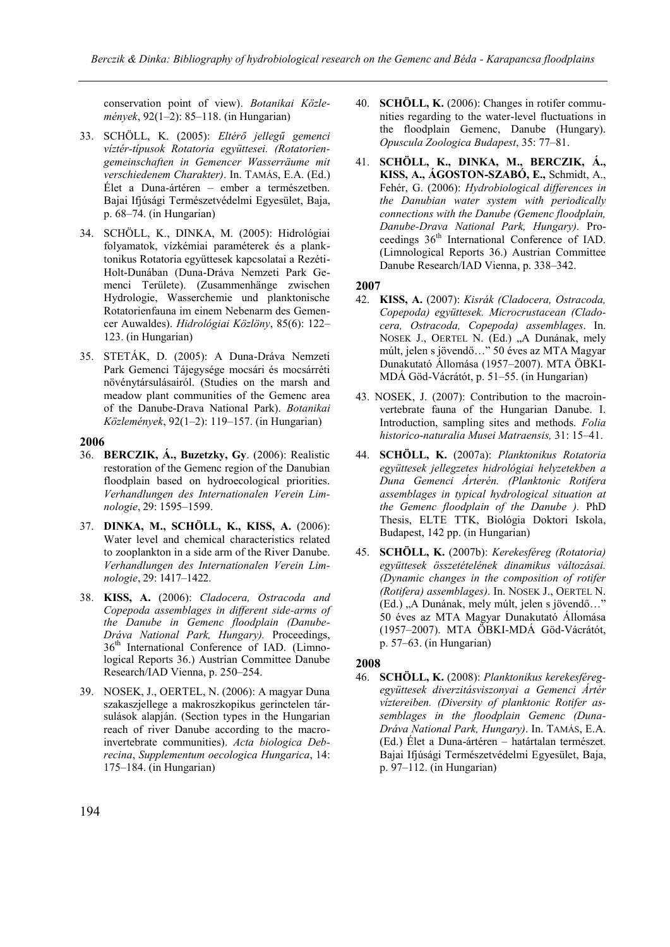conservation point of view). *Botanikai Közlemények*, 92(1–2): 85–118. (in Hungarian)

- 33. SCHÖLL, K. (2005): *Eltérő jellegű gemenci víztér-típusok Rotatoria együttesei. (Rotatoriengemeinschaften in Gemencer Wasserräume mit verschiedenem Charakter)*. In. TAMÁS, E.A. (Ed.) Élet a Duna-ártéren – ember a természetben. Bajai Ifjúsági Természetvédelmi Egyesület, Baja, p. 68–74. (in Hungarian)
- 34. SCHÖLL, K., DINKA, M. (2005): Hidrológiai folyamatok, vízkémiai paraméterek és a planktonikus Rotatoria együttesek kapcsolatai a Rezéti-Holt-Dunában (Duna-Dráva Nemzeti Park Gemenci Területe). (Zusammenhänge zwischen Hydrologie, Wasserchemie und planktonische Rotatorienfauna im einem Nebenarm des Gemencer Auwaldes). *Hidrológiai Közlöny*, 85(6): 122– 123. (in Hungarian)
- 35. STETÁK, D. (2005): A Duna-Dráva Nemzeti Park Gemenci Tájegysége mocsári és mocsárréti növénytársulásairól. (Studies on the marsh and meadow plant communities of the Gemenc area of the Danube-Drava National Park). *Botanikai Közlemények*, 92(1–2): 119–157. (in Hungarian)

#### **2006**

- 36. **BERCZIK, Á., Buzetzky, Gy**. (2006): Realistic restoration of the Gemenc region of the Danubian floodplain based on hydroecological priorities. *Verhandlungen des Internationalen Verein Limnologie*, 29: 1595–1599.
- 37. **DINKA, M., SCHÖLL, K., KISS, A.** (2006): Water level and chemical characteristics related to zooplankton in a side arm of the River Danube. *Verhandlungen des Internationalen Verein Limnologie*, 29: 1417–1422.
- 38. **KISS, A.** (2006): *Cladocera, Ostracoda and Copepoda assemblages in different side-arms of the Danube in Gemenc floodplain (Danube-Dráva National Park, Hungary).* Proceedings, 36<sup>th</sup> International Conference of IAD. (Limnological Reports 36.) Austrian Committee Danube Research/IAD Vienna, p. 250–254.
- 39. NOSEK, J., OERTEL, N. (2006): A magyar Duna szakaszjellege a makroszkopikus gerinctelen társulások alapján. (Section types in the Hungarian reach of river Danube according to the macroinvertebrate communities). *Acta biologica Debrecina*, *Supplementum oecologica Hungarica*, 14: 175–184. (in Hungarian)
- 40. **SCHÖLL, K.** (2006): Changes in rotifer communities regarding to the water-level fluctuations in the floodplain Gemenc, Danube (Hungary). *Opuscula Zoologica Budapest*, 35: 77–81.
- 41. **SCHÖLL, K., DINKA, M., BERCZIK, Á., KISS, A., ÁGOSTON-SZABÓ, E.,** Schmidt, A., Fehér, G. (2006): *Hydrobiological differences in the Danubian water system with periodically connections with the Danube (Gemenc floodplain, Danube-Drava National Park, Hungary).* Proceedings 36<sup>th</sup> International Conference of IAD. (Limnological Reports 36.) Austrian Committee Danube Research/IAD Vienna, p. 338–342.

#### **2007**

- 42. **KISS, A.** (2007): *Kisrák (Cladocera, Ostracoda, Copepoda) együttesek. Microcrustacean (Cladocera, Ostracoda, Copepoda) assemblages*. In. NOSEK J., OERTEL N. (Ed.) "A Dunának, mely múlt, jelen s jövendő…" 50 éves az MTA Magyar Dunakutató Állomása (1957–2007). MTA ÖBKI-MDÁ Göd-Vácrátót, p. 51–55. (in Hungarian)
- 43. NOSEK, J. (2007): Contribution to the macroinvertebrate fauna of the Hungarian Danube. I. Introduction, sampling sites and methods. *Folia historico*-*naturalia Musei Matraensis,* 31: 15–41.
- 44. **SCHÖLL, K.** (2007a): *Planktonikus Rotatoria együttesek jellegzetes hidrológiai helyzetekben a Duna Gemenci Árterén. (Planktonic Rotifera assemblages in typical hydrological situation at the Gemenc floodplain of the Danube ).* PhD Thesis, ELTE TTK, Biológia Doktori Iskola, Budapest, 142 pp. (in Hungarian)
- 45. **SCHÖLL, K.** (2007b): *Kerekesféreg (Rotatoria) együttesek összetételének dinamikus változásai. (Dynamic changes in the composition of rotifer (Rotifera) assemblages)*. In. NOSEK J., OERTEL N. (Ed.) "A Dunának, mely múlt, jelen s jövendő..." 50 éves az MTA Magyar Dunakutató Állomása (1957–2007). MTA ÖBKI-MDÁ Göd-Vácrátót, p. 57–63. (in Hungarian)

# **2008**

46. **SCHÖLL, K.** (2008): *Planktonikus kerekesféregegyüttesek diverzitásviszonyai a Gemenci Ártér víztereiben. (Diversity of planktonic Rotifer assemblages in the floodplain Gemenc (Duna-Dráva National Park, Hungary)*. In. TAMÁS, E.A. (Ed.) Élet a Duna-ártéren – határtalan természet. Bajai Ifjúsági Természetvédelmi Egyesület, Baja, p. 97–112. (in Hungarian)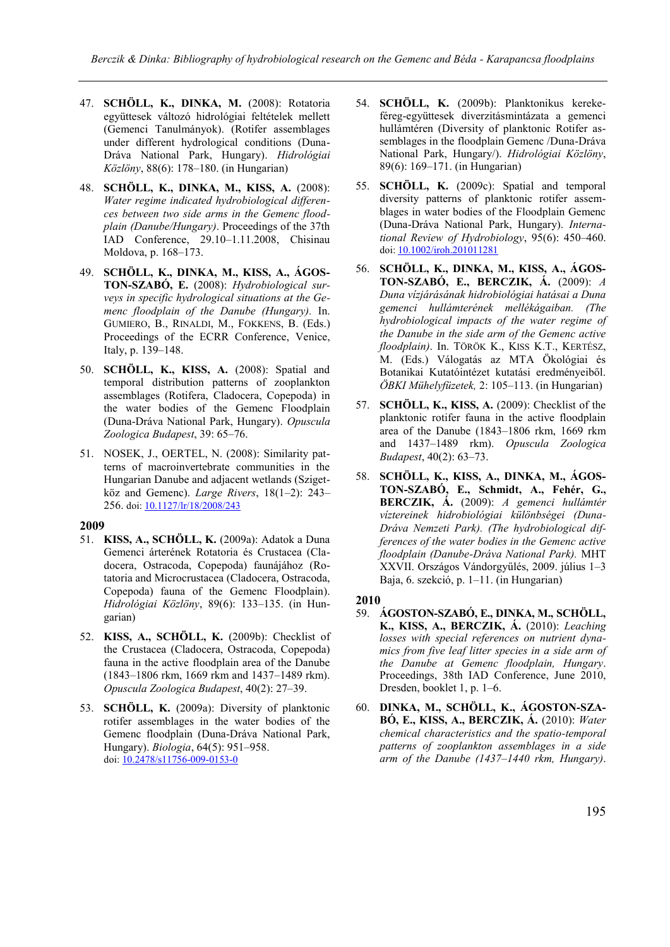- 47. **SCHÖLL, K., DINKA, M.** (2008): Rotatoria együttesek változó hidrológiai feltételek mellett (Gemenci Tanulmányok). (Rotifer assemblages under different hydrological conditions (Duna-Dráva National Park, Hungary). *Hidrológiai Közlöny*, 88(6): 178–180. (in Hungarian)
- 48. **SCHÖLL, K., DINKA, M., KISS, A.** (2008): *Water regime indicated hydrobiological differences between two side arms in the Gemenc floodplain (Danube/Hungary)*. Proceedings of the 37th IAD Conference, 29.10–1.11.2008, Chisinau Moldova, p. 168–173.
- 49. **SCHÖLL, K., DINKA, M., KISS, A., ÁGOS-TON-SZABÓ, E.** (2008): *Hydrobiological surveys in specific hydrological situations at the Gemenc floodplain of the Danube (Hungary).* In. GUMIERO, B., RINALDI, M., FOKKENS, B. (Eds.) Proceedings of the ECRR Conference, Venice, Italy, p. 139–148.
- 50. **SCHÖLL, K., KISS, A.** (2008): Spatial and temporal distribution patterns of zooplankton assemblages (Rotifera, Cladocera, Copepoda) in the water bodies of the Gemenc Floodplain (Duna-Dráva National Park, Hungary). *Opuscula Zoologica Budapest*, 39: 65–76.
- 51. NOSEK, J., OERTEL, N. (2008): Similarity patterns of macroinvertebrate communities in the Hungarian Danube and adjacent wetlands (Szigetköz and Gemenc). *Large Rivers*, 18(1–2): 243– 256. doi[: 10.1127/lr/18/2008/243](https://dx.doi.org/10.1127/lr/18/2008/243)

# **2009**

- 51. **KISS, A., SCHÖLL, K.** (2009a): Adatok a Duna Gemenci árterének Rotatoria és Crustacea (Cladocera, Ostracoda, Copepoda) faunájához (Rotatoria and Microcrustacea (Cladocera, Ostracoda, Copepoda) fauna of the Gemenc Floodplain). *Hidrológiai Közlöny*, 89(6): 133–135. (in Hungarian)
- 52. **KISS, A., SCHÖLL, K.** (2009b): Checklist of the Crustacea (Cladocera, Ostracoda, Copepoda) fauna in the active floodplain area of the Danube (1843–1806 rkm, 1669 rkm and 1437–1489 rkm). *Opuscula Zoologica Budapest*, 40(2): 27–39.
- 53. **SCHÖLL, K.** (2009a): Diversity of planktonic rotifer assemblages in the water bodies of the Gemenc floodplain (Duna-Dráva National Park, Hungary). *Biologia*, 64(5): 951–958. doi[: 10.2478/s11756-009-0153-0](https://doi.org/10.2478/s11756-009-0153-0)
- 54. **SCHÖLL, K.** (2009b): Planktonikus kerekeféreg-együttesek diverzitásmintázata a gemenci hullámtéren (Diversity of planktonic Rotifer assemblages in the floodplain Gemenc /Duna-Dráva National Park, Hungary/). *Hidrológiai Közlöny*, 89(6): 169–171. (in Hungarian)
- 55. **SCHÖLL, K.** (2009c): Spatial and temporal diversity patterns of planktonic rotifer assemblages in water bodies of the Floodplain Gemenc (Duna-Dráva National Park, Hungary). *International Review of Hydrobiology*, 95(6): 450–460. doi[: 10.1002/iroh.201011281](https://doi.org/10.1002/iroh.201011281)
- 56. **SCHÖLL, K., DINKA, M., KISS, A., ÁGOS-TON-SZABÓ, E., BERCZIK, Á.** (2009): *A Duna vízjárásának hidrobiológiai hatásai a Duna gemenci hullámterének mellékágaiban. (The hydrobiological impacts of the water regime of the Danube in the side arm of the Gemenc active floodplain)*. In. TÖRÖK K., KISS K.T., KERTÉSZ, M. (Eds.) Válogatás az MTA Ökológiai és Botanikai Kutatóintézet kutatási eredményeiből. *ÖBKI Mühelyfüzetek,* 2: 105–113. (in Hungarian)
- 57. **SCHÖLL, K., KISS, A.** (2009): Checklist of the planktonic rotifer fauna in the active floodplain area of the Danube (1843–1806 rkm, 1669 rkm and 1437–1489 rkm). *Opuscula Zoologica Budapest*, 40(2): 63–73.
- 58. **SCHÖLL, K., KISS, A., DINKA, M., ÁGOS-TON-SZABÓ, E., Schmidt, A., Fehér, G., BERCZIK, Á.** (2009): *A gemenci hullámtér víztereinek hidrobiológiai különbségei (Duna-Dráva Nemzeti Park). (The hydrobiological differences of the water bodies in the Gemenc active floodplain (Danube-Dráva National Park).* MHT XXVII. Országos Vándorgyűlés, 2009. július 1–3 Baja, 6. szekció, p. 1–11. (in Hungarian)

- 59. **ÁGOSTON-SZABÓ, E., DINKA, M., SCHÖLL, K., KISS, A., BERCZIK, Á.** (2010): *Leaching losses with special references on nutrient dynamics from five leaf litter species in a side arm of the Danube at Gemenc floodplain, Hungary*. Proceedings, 38th IAD Conference, June 2010, Dresden, booklet 1, p. 1–6.
- 60. **DINKA, M., SCHÖLL, K., ÁGOSTON-SZA-BÓ, E., KISS, A., BERCZIK, Á.** (2010): *Water chemical characteristics and the spatio-temporal patterns of zooplankton assemblages in a side arm of the Danube (1437–1440 rkm, Hungary)*.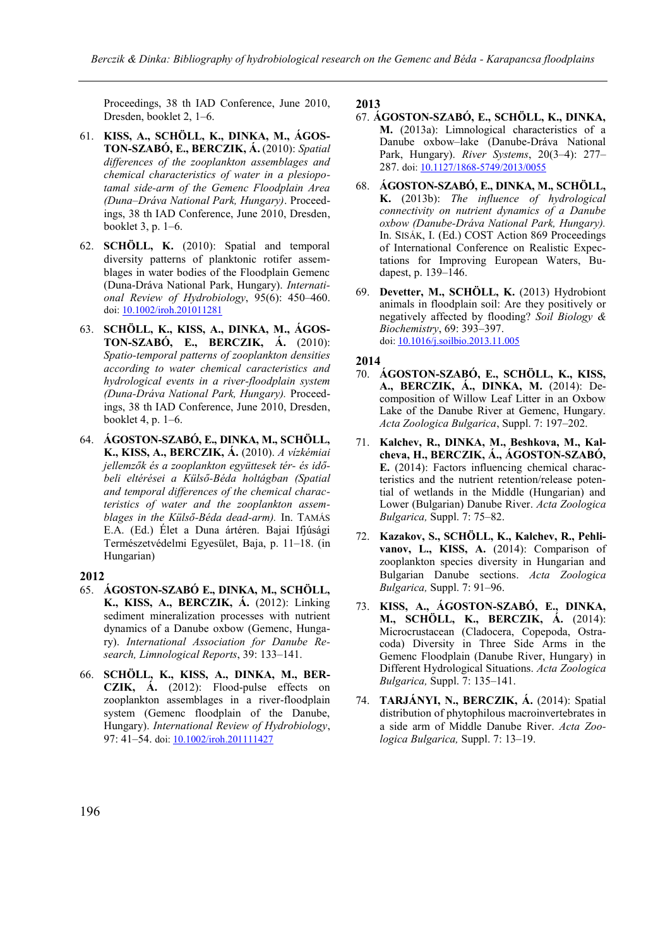Proceedings, 38 th IAD Conference, June 2010, Dresden, booklet 2, 1–6.

- 61. **KISS, A., SCHÖLL, K., DINKA, M., ÁGOS-TON-SZABÓ, E., BERCZIK, Á.** (2010): *Spatial differences of the zooplankton assemblages and chemical characteristics of water in a plesiopotamal side-arm of the Gemenc Floodplain Area (Duna–Dráva National Park, Hungary)*. Proceedings, 38 th IAD Conference, June 2010, Dresden, booklet 3, p. 1–6.
- 62. **SCHÖLL, K.** (2010): Spatial and temporal diversity patterns of planktonic rotifer assemblages in water bodies of the Floodplain Gemenc (Duna-Dráva National Park, Hungary). *International Review of Hydrobiology*, 95(6): 450–460. doi[: 10.1002/iroh.201011281](https://doi.org/10.1002/iroh.201011281)
- 63. **SCHÖLL, K., KISS, A., DINKA, M., ÁGOS-TON-SZABÓ, E., BERCZIK, Á.** (2010): *Spatio-temporal patterns of zooplankton densities according to water chemical caracteristics and hydrological events in a river-floodplain system (Duna-Dráva National Park, Hungary).* Proceedings, 38 th IAD Conference, June 2010, Dresden, booklet 4, p. 1–6.
- 64. **ÁGOSTON-SZABÓ, E., DINKA, M., SCHÖLL, K., KISS, A., BERCZIK, Á.** (2010). *A vízkémiai jellemzők és a zooplankton együttesek tér- és időbeli eltérései a Külső-Béda holtágban (Spatial and temporal differences of the chemical characteristics of water and the zooplankton assemblages in the Külső-Béda dead-arm).* In. TAMÁS E.A. (Ed.) Élet a Duna ártéren. Bajai Ifjúsági Természetvédelmi Egyesület, Baja, p. 11–18. (in Hungarian)

# **2012**

- 65. **ÁGOSTON-SZABÓ E., DINKA, M., SCHÖLL, K., KISS, A., BERCZIK, Á.** (2012): Linking sediment mineralization processes with nutrient dynamics of a Danube oxbow (Gemenc, Hungary). *International Association for Danube Research, Limnological Reports*, 39: 133–141.
- 66. **SCHÖLL, K., KISS, A., DINKA, M., BER-CZIK, Á.** (2012): Flood-pulse effects on zooplankton assemblages in a river-floodplain system (Gemenc floodplain of the Danube, Hungary). *International Review of Hydrobiology*, 97: 41–54. doi[: 10.1002/iroh.201111427](https://doi.org/10.1002/iroh.201111427)

#### **2013**

- 67. **ÁGOSTON-SZABÓ, E., SCHÖLL, K., DINKA, M.** (2013a): Limnological characteristics of a Danube oxbow–lake (Danube-Dráva National Park, Hungary). *River Systems*, 20(3–4): 277– 287. doi[: 10.1127/1868-5749/2013/0055](https://dx.doi.org/10.1127/1868-5749/2013/0055)
- 68. **ÁGOSTON-SZABÓ, E., DINKA, M., SCHÖLL, K.** (2013b): *The influence of hydrological connectivity on nutrient dynamics of a Danube oxbow (Danube-Dráva National Park, Hungary).* In. SISÁK, I. (Ed.) COST Action 869 Proceedings of International Conference on Realistic Expectations for Improving European Waters, Budapest, p. 139–146.
- 69. **Devetter, M., SCHÖLL, K.** (2013) Hydrobiont animals in floodplain soil: Are they positively or negatively affected by flooding? *Soil Biology & Biochemistry*, 69: 393–397. doi[: 10.1016/j.soilbio.2013.11.005](http://dx.doi.org/10.1016/j.soilbio.2013.11.005)

- 70. **ÁGOSTON-SZABÓ, E., SCHÖLL, K., KISS, A., BERCZIK, Á., DINKA, M.** (2014): Decomposition of Willow Leaf Litter in an Oxbow Lake of the Danube River at Gemenc, Hungary. *Acta Zoologica Bulgarica*, Suppl. 7: 197–202.
- 71. **Kalchev, R., DINKA, M., Beshkova, M., Kalcheva, H., BERCZIK, Á., ÁGOSTON-SZABÓ, E.** (2014): Factors influencing chemical characteristics and the nutrient retention/release potential of wetlands in the Middle (Hungarian) and Lower (Bulgarian) Danube River. *Acta Zoologica Bulgarica,* Suppl. 7: 75–82.
- 72. **Kazakov, S., SCHÖLL, K., Kalchev, R., Pehlivanov, L., KISS, A.** (2014): Comparison of zooplankton species diversity in Hungarian and Bulgarian Danube sections. *Acta Zoologica Bulgarica,* Suppl. 7: 91–96.
- 73. **KISS, A., ÁGOSTON-SZABÓ, E., DINKA, M., SCHÖLL, K., BERCZIK, Á.** (2014): Microcrustacean (Cladocera, Copepoda, Ostracoda) Diversity in Three Side Arms in the Gemenc Floodplain (Danube River, Hungary) in Different Hydrological Situations. *Acta Zoologica Bulgarica,* Suppl. 7: 135–141.
- 74. **TARJÁNYI, N., BERCZIK, Á.** (2014): Spatial distribution of phytophilous macroinvertebrates in a side arm of Middle Danube River. *Acta Zoologica Bulgarica,* Suppl. 7: 13–19.